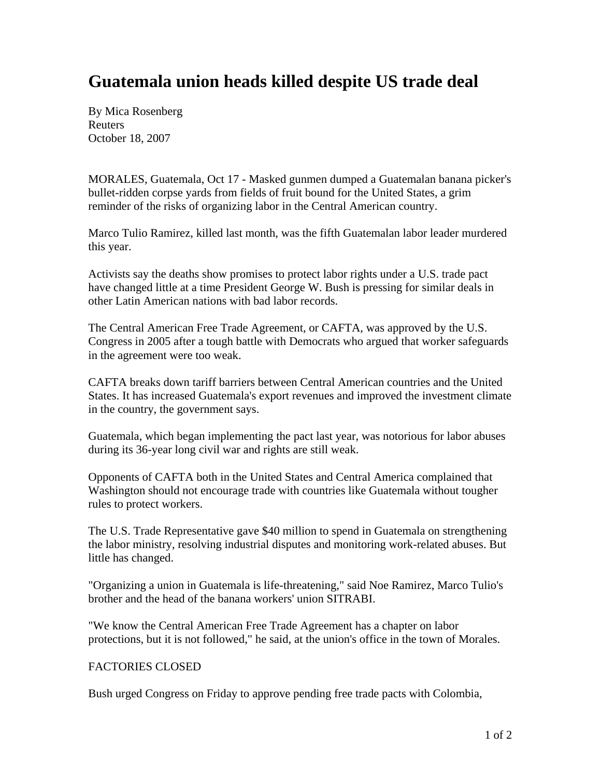## **Guatemala union heads killed despite US trade deal**

By Mica Rosenberg Reuters October 18, 2007

MORALES, Guatemala, Oct 17 - Masked gunmen dumped a Guatemalan banana picker's bullet-ridden corpse yards from fields of fruit bound for the United States, a grim reminder of the risks of organizing labor in the Central American country.

Marco Tulio Ramirez, killed last month, was the fifth Guatemalan labor leader murdered this year.

Activists say the deaths show promises to protect labor rights under a U.S. trade pact have changed little at a time President George W. Bush is pressing for similar deals in other Latin American nations with bad labor records.

The Central American Free Trade Agreement, or CAFTA, was approved by the U.S. Congress in 2005 after a tough battle with Democrats who argued that worker safeguards in the agreement were too weak.

CAFTA breaks down tariff barriers between Central American countries and the United States. It has increased Guatemala's export revenues and improved the investment climate in the country, the government says.

Guatemala, which began implementing the pact last year, was notorious for labor abuses during its 36-year long civil war and rights are still weak.

Opponents of CAFTA both in the United States and Central America complained that Washington should not encourage trade with countries like Guatemala without tougher rules to protect workers.

The U.S. Trade Representative gave \$40 million to spend in Guatemala on strengthening the labor ministry, resolving industrial disputes and monitoring work-related abuses. But little has changed.

"Organizing a union in Guatemala is life-threatening," said Noe Ramirez, Marco Tulio's brother and the head of the banana workers' union SITRABI.

"We know the Central American Free Trade Agreement has a chapter on labor protections, but it is not followed," he said, at the union's office in the town of Morales.

## FACTORIES CLOSED

Bush urged Congress on Friday to approve pending free trade pacts with Colombia,